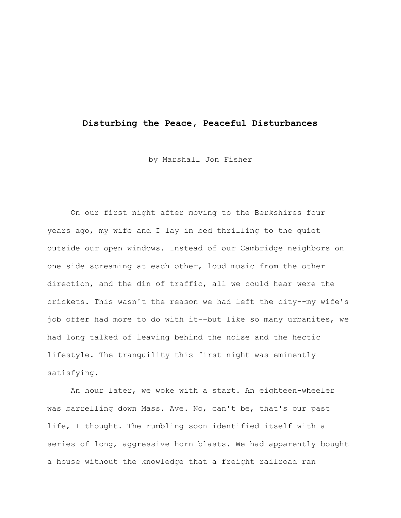## **Disturbing the Peace, Peaceful Disturbances**

by Marshall Jon Fisher

On our first night after moving to the Berkshires four years ago, my wife and I lay in bed thrilling to the quiet outside our open windows. Instead of our Cambridge neighbors on one side screaming at each other, loud music from the other direction, and the din of traffic, all we could hear were the crickets. This wasn't the reason we had left the city--my wife's job offer had more to do with it--but like so many urbanites, we had long talked of leaving behind the noise and the hectic lifestyle. The tranquility this first night was eminently satisfying.

An hour later, we woke with a start. An eighteen-wheeler was barrelling down Mass. Ave. No, can't be, that's our past life, I thought. The rumbling soon identified itself with a series of long, aggressive horn blasts. We had apparently bought a house without the knowledge that a freight railroad ran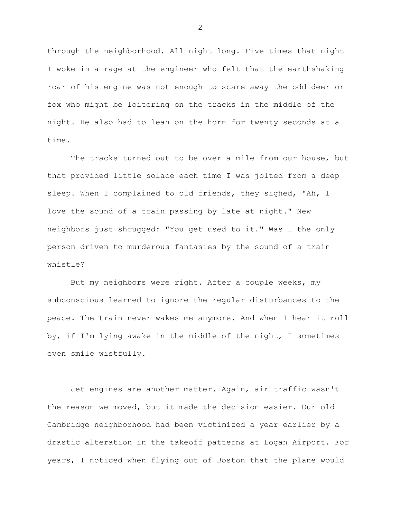through the neighborhood. All night long. Five times that night I woke in a rage at the engineer who felt that the earthshaking roar of his engine was not enough to scare away the odd deer or fox who might be loitering on the tracks in the middle of the night. He also had to lean on the horn for twenty seconds at a time.

The tracks turned out to be over a mile from our house, but that provided little solace each time I was jolted from a deep sleep. When I complained to old friends, they sighed, "Ah, I love the sound of a train passing by late at night." New neighbors just shrugged: "You get used to it." Was I the only person driven to murderous fantasies by the sound of a train whistle?

But my neighbors were right. After a couple weeks, my subconscious learned to ignore the regular disturbances to the peace. The train never wakes me anymore. And when I hear it roll by, if I'm lying awake in the middle of the night, I sometimes even smile wistfully.

Jet engines are another matter. Again, air traffic wasn't the reason we moved, but it made the decision easier. Our old Cambridge neighborhood had been victimized a year earlier by a drastic alteration in the takeoff patterns at Logan Airport. For years, I noticed when flying out of Boston that the plane would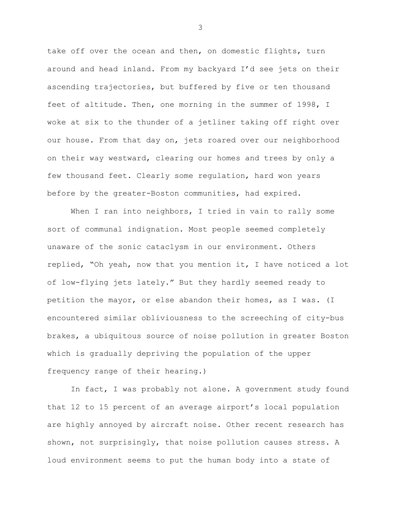take off over the ocean and then, on domestic flights, turn around and head inland. From my backyard I'd see jets on their ascending trajectories, but buffered by five or ten thousand feet of altitude. Then, one morning in the summer of 1998, I woke at six to the thunder of a jetliner taking off right over our house. From that day on, jets roared over our neighborhood on their way westward, clearing our homes and trees by only a few thousand feet. Clearly some regulation, hard won years before by the greater-Boston communities, had expired.

When I ran into neighbors, I tried in vain to rally some sort of communal indignation. Most people seemed completely unaware of the sonic cataclysm in our environment. Others replied, "Oh yeah, now that you mention it, I have noticed a lot of low-flying jets lately." But they hardly seemed ready to petition the mayor, or else abandon their homes, as I was. (I encountered similar obliviousness to the screeching of city-bus brakes, a ubiquitous source of noise pollution in greater Boston which is gradually depriving the population of the upper frequency range of their hearing.)

In fact, I was probably not alone. A government study found that 12 to 15 percent of an average airport's local population are highly annoyed by aircraft noise. Other recent research has shown, not surprisingly, that noise pollution causes stress. A loud environment seems to put the human body into a state of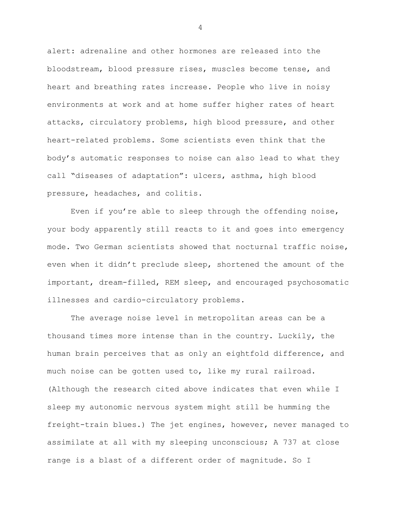alert: adrenaline and other hormones are released into the bloodstream, blood pressure rises, muscles become tense, and heart and breathing rates increase. People who live in noisy environments at work and at home suffer higher rates of heart attacks, circulatory problems, high blood pressure, and other heart-related problems. Some scientists even think that the body's automatic responses to noise can also lead to what they call "diseases of adaptation": ulcers, asthma, high blood pressure, headaches, and colitis.

Even if you're able to sleep through the offending noise, your body apparently still reacts to it and goes into emergency mode. Two German scientists showed that nocturnal traffic noise, even when it didn't preclude sleep, shortened the amount of the important, dream-filled, REM sleep, and encouraged psychosomatic illnesses and cardio-circulatory problems.

The average noise level in metropolitan areas can be a thousand times more intense than in the country. Luckily, the human brain perceives that as only an eightfold difference, and much noise can be gotten used to, like my rural railroad. (Although the research cited above indicates that even while I sleep my autonomic nervous system might still be humming the freight-train blues.) The jet engines, however, never managed to assimilate at all with my sleeping unconscious; A 737 at close range is a blast of a different order of magnitude. So I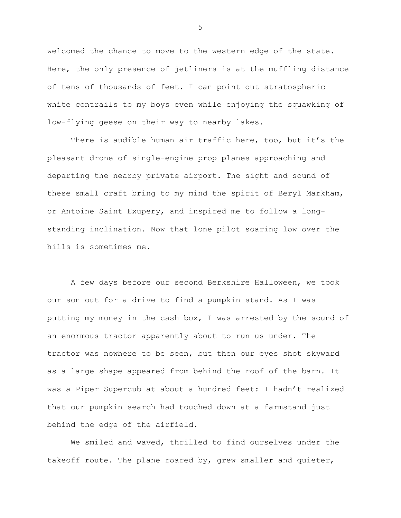welcomed the chance to move to the western edge of the state. Here, the only presence of jetliners is at the muffling distance of tens of thousands of feet. I can point out stratospheric white contrails to my boys even while enjoying the squawking of low-flying geese on their way to nearby lakes.

There is audible human air traffic here, too, but it's the pleasant drone of single-engine prop planes approaching and departing the nearby private airport. The sight and sound of these small craft bring to my mind the spirit of Beryl Markham, or Antoine Saint Exupery, and inspired me to follow a longstanding inclination. Now that lone pilot soaring low over the hills is sometimes me.

A few days before our second Berkshire Halloween, we took our son out for a drive to find a pumpkin stand. As I was putting my money in the cash box, I was arrested by the sound of an enormous tractor apparently about to run us under. The tractor was nowhere to be seen, but then our eyes shot skyward as a large shape appeared from behind the roof of the barn. It was a Piper Supercub at about a hundred feet: I hadn't realized that our pumpkin search had touched down at a farmstand just behind the edge of the airfield.

We smiled and waved, thrilled to find ourselves under the takeoff route. The plane roared by, grew smaller and quieter,